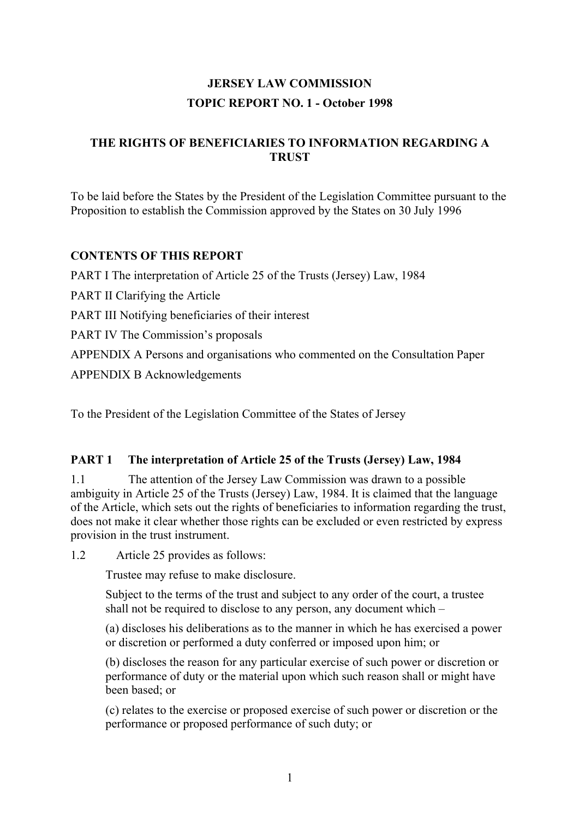# **JERSEY LAW COMMISSION TOPIC REPORT NO. 1 - October 1998**

## **THE RIGHTS OF BENEFICIARIES TO INFORMATION REGARDING A TRUST**

To be laid before the States by the President of the Legislation Committee pursuant to the Proposition to establish the Commission approved by the States on 30 July 1996

## **CONTENTS OF THIS REPORT**

PART I The interpretation of Article 25 of the Trusts (Jersey) Law, 1984 PART II Clarifying the Article PART III Notifying beneficiaries of their interest PART IV The Commission's proposals APPENDIX A Persons and organisations who commented on the Consultation Paper APPENDIX B Acknowledgements

To the President of the Legislation Committee of the States of Jersey

## **PART 1 The interpretation of Article 25 of the Trusts (Jersey) Law, 1984**

1.1 The attention of the Jersey Law Commission was drawn to a possible ambiguity in Article 25 of the Trusts (Jersey) Law, 1984. It is claimed that the language of the Article, which sets out the rights of beneficiaries to information regarding the trust, does not make it clear whether those rights can be excluded or even restricted by express provision in the trust instrument.

1.2 Article 25 provides as follows:

Trustee may refuse to make disclosure.

Subject to the terms of the trust and subject to any order of the court, a trustee shall not be required to disclose to any person, any document which –

(a) discloses his deliberations as to the manner in which he has exercised a power or discretion or performed a duty conferred or imposed upon him; or

(b) discloses the reason for any particular exercise of such power or discretion or performance of duty or the material upon which such reason shall or might have been based; or

(c) relates to the exercise or proposed exercise of such power or discretion or the performance or proposed performance of such duty; or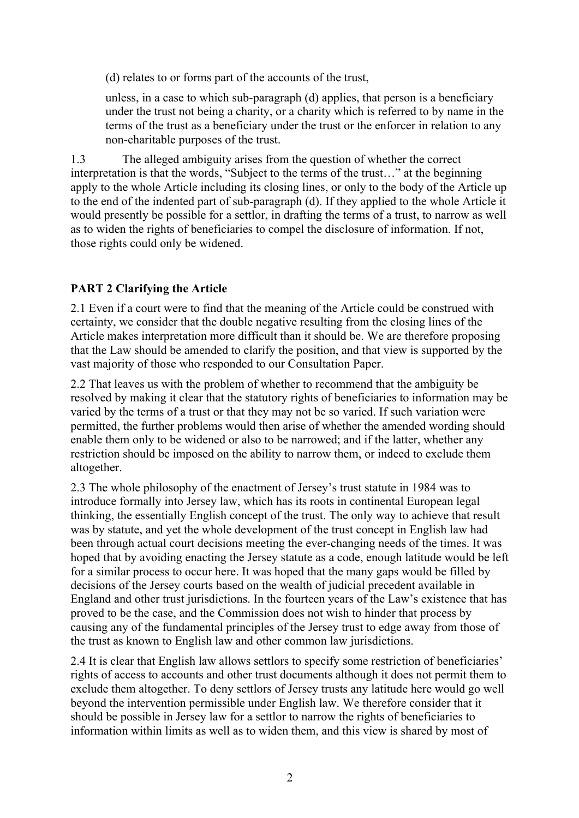(d) relates to or forms part of the accounts of the trust,

unless, in a case to which sub-paragraph (d) applies, that person is a beneficiary under the trust not being a charity, or a charity which is referred to by name in the terms of the trust as a beneficiary under the trust or the enforcer in relation to any non-charitable purposes of the trust.

1.3 The alleged ambiguity arises from the question of whether the correct interpretation is that the words, "Subject to the terms of the trust…" at the beginning apply to the whole Article including its closing lines, or only to the body of the Article up to the end of the indented part of sub-paragraph (d). If they applied to the whole Article it would presently be possible for a settlor, in drafting the terms of a trust, to narrow as well as to widen the rights of beneficiaries to compel the disclosure of information. If not, those rights could only be widened.

# **PART 2 Clarifying the Article**

2.1 Even if a court were to find that the meaning of the Article could be construed with certainty, we consider that the double negative resulting from the closing lines of the Article makes interpretation more difficult than it should be. We are therefore proposing that the Law should be amended to clarify the position, and that view is supported by the vast majority of those who responded to our Consultation Paper.

2.2 That leaves us with the problem of whether to recommend that the ambiguity be resolved by making it clear that the statutory rights of beneficiaries to information may be varied by the terms of a trust or that they may not be so varied. If such variation were permitted, the further problems would then arise of whether the amended wording should enable them only to be widened or also to be narrowed; and if the latter, whether any restriction should be imposed on the ability to narrow them, or indeed to exclude them altogether.

2.3 The whole philosophy of the enactment of Jersey's trust statute in 1984 was to introduce formally into Jersey law, which has its roots in continental European legal thinking, the essentially English concept of the trust. The only way to achieve that result was by statute, and yet the whole development of the trust concept in English law had been through actual court decisions meeting the ever-changing needs of the times. It was hoped that by avoiding enacting the Jersey statute as a code, enough latitude would be left for a similar process to occur here. It was hoped that the many gaps would be filled by decisions of the Jersey courts based on the wealth of judicial precedent available in England and other trust jurisdictions. In the fourteen years of the Law's existence that has proved to be the case, and the Commission does not wish to hinder that process by causing any of the fundamental principles of the Jersey trust to edge away from those of the trust as known to English law and other common law jurisdictions.

2.4 It is clear that English law allows settlors to specify some restriction of beneficiaries' rights of access to accounts and other trust documents although it does not permit them to exclude them altogether. To deny settlors of Jersey trusts any latitude here would go well beyond the intervention permissible under English law. We therefore consider that it should be possible in Jersey law for a settlor to narrow the rights of beneficiaries to information within limits as well as to widen them, and this view is shared by most of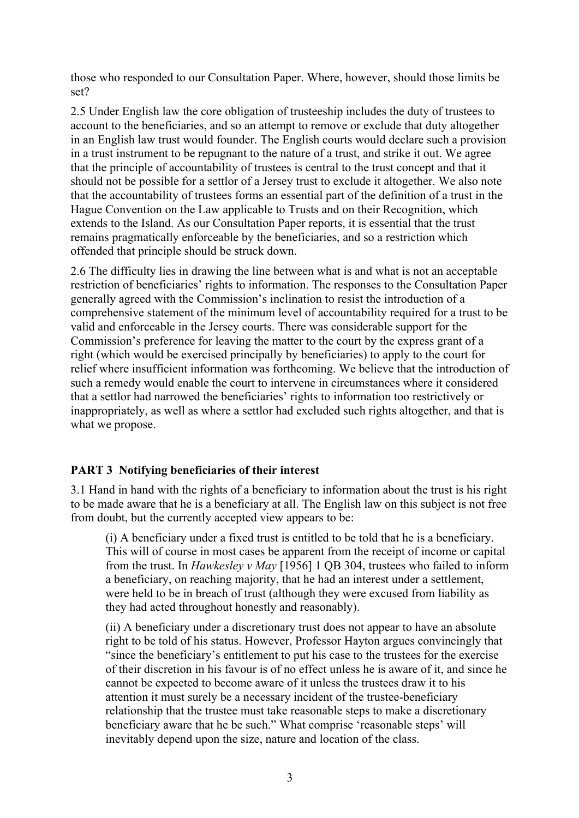those who responded to our Consultation Paper. Where, however, should those limits be set?

2.5 Under English law the core obligation of trusteeship includes the duty of trustees to account to the beneficiaries, and so an attempt to remove or exclude that duty altogether in an English law trust would founder. The English courts would declare such a provision in a trust instrument to be repugnant to the nature of a trust, and strike it out. We agree that the principle of accountability of trustees is central to the trust concept and that it should not be possible for a settlor of a Jersey trust to exclude it altogether. We also note that the accountability of trustees forms an essential part of the definition of a trust in the Hague Convention on the Law applicable to Trusts and on their Recognition, which extends to the Island. As our Consultation Paper reports, it is essential that the trust remains pragmatically enforceable by the beneficiaries, and so a restriction which offended that principle should be struck down.

2.6 The difficulty lies in drawing the line between what is and what is not an acceptable restriction of beneficiaries' rights to information. The responses to the Consultation Paper generally agreed with the Commission's inclination to resist the introduction of a comprehensive statement of the minimum level of accountability required for a trust to be valid and enforceable in the Jersey courts. There was considerable support for the Commission's preference for leaving the matter to the court by the express grant of a right (which would be exercised principally by beneficiaries) to apply to the court for relief where insufficient information was forthcoming. We believe that the introduction of such a remedy would enable the court to intervene in circumstances where it considered that a settlor had narrowed the beneficiaries' rights to information too restrictively or inappropriately, as well as where a settlor had excluded such rights altogether, and that is what we propose.

#### **PART 3 Notifying beneficiaries of their interest**

3.1 Hand in hand with the rights of a beneficiary to information about the trust is his right to be made aware that he is a beneficiary at all. The English law on this subject is not free from doubt, but the currently accepted view appears to be:

(i) A beneficiary under a fixed trust is entitled to be told that he is a beneficiary. This will of course in most cases be apparent from the receipt of income or capital from the trust. In *Hawkesley v May* [1956] 1 QB 304, trustees who failed to inform a beneficiary, on reaching majority, that he had an interest under a settlement, were held to be in breach of trust (although they were excused from liability as they had acted throughout honestly and reasonably).

(ii) A beneficiary under a discretionary trust does not appear to have an absolute right to be told of his status. However, Professor Hayton argues convincingly that "since the beneficiary's entitlement to put his case to the trustees for the exercise of their discretion in his favour is of no effect unless he is aware of it, and since he cannot be expected to become aware of it unless the trustees draw it to his attention it must surely be a necessary incident of the trustee-beneficiary relationship that the trustee must take reasonable steps to make a discretionary beneficiary aware that he be such." What comprise 'reasonable steps' will inevitably depend upon the size, nature and location of the class.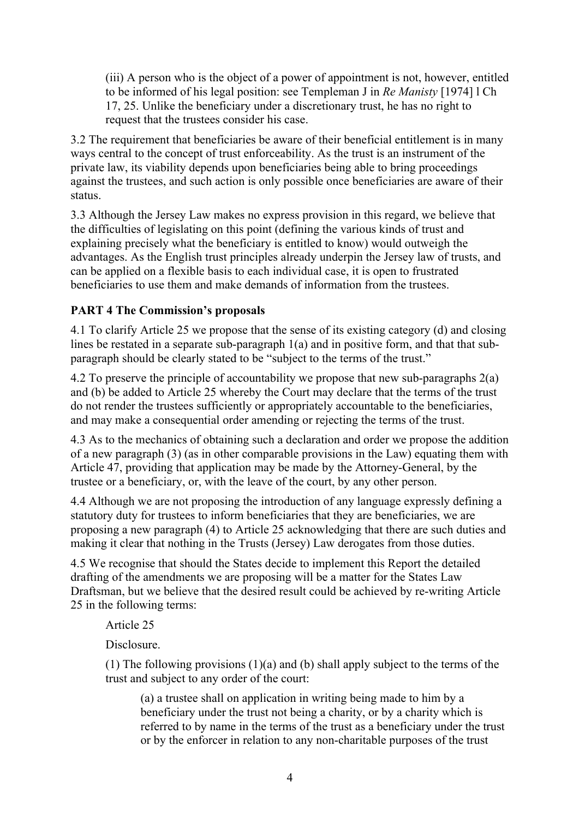(iii) A person who is the object of a power of appointment is not, however, entitled to be informed of his legal position: see Templeman J in *Re Manisty* [1974] l Ch 17, 25. Unlike the beneficiary under a discretionary trust, he has no right to request that the trustees consider his case.

3.2 The requirement that beneficiaries be aware of their beneficial entitlement is in many ways central to the concept of trust enforceability. As the trust is an instrument of the private law, its viability depends upon beneficiaries being able to bring proceedings against the trustees, and such action is only possible once beneficiaries are aware of their status.

3.3 Although the Jersey Law makes no express provision in this regard, we believe that the difficulties of legislating on this point (defining the various kinds of trust and explaining precisely what the beneficiary is entitled to know) would outweigh the advantages. As the English trust principles already underpin the Jersey law of trusts, and can be applied on a flexible basis to each individual case, it is open to frustrated beneficiaries to use them and make demands of information from the trustees.

# **PART 4 The Commission's proposals**

4.1 To clarify Article 25 we propose that the sense of its existing category (d) and closing lines be restated in a separate sub-paragraph 1(a) and in positive form, and that that subparagraph should be clearly stated to be "subject to the terms of the trust."

4.2 To preserve the principle of accountability we propose that new sub-paragraphs 2(a) and (b) be added to Article 25 whereby the Court may declare that the terms of the trust do not render the trustees sufficiently or appropriately accountable to the beneficiaries, and may make a consequential order amending or rejecting the terms of the trust.

4.3 As to the mechanics of obtaining such a declaration and order we propose the addition of a new paragraph (3) (as in other comparable provisions in the Law) equating them with Article 47, providing that application may be made by the Attorney-General, by the trustee or a beneficiary, or, with the leave of the court, by any other person.

4.4 Although we are not proposing the introduction of any language expressly defining a statutory duty for trustees to inform beneficiaries that they are beneficiaries, we are proposing a new paragraph (4) to Article 25 acknowledging that there are such duties and making it clear that nothing in the Trusts (Jersey) Law derogates from those duties.

4.5 We recognise that should the States decide to implement this Report the detailed drafting of the amendments we are proposing will be a matter for the States Law Draftsman, but we believe that the desired result could be achieved by re-writing Article 25 in the following terms:

Article 25

**Disclosure** 

(1) The following provisions (1)(a) and (b) shall apply subject to the terms of the trust and subject to any order of the court:

(a) a trustee shall on application in writing being made to him by a beneficiary under the trust not being a charity, or by a charity which is referred to by name in the terms of the trust as a beneficiary under the trust or by the enforcer in relation to any non-charitable purposes of the trust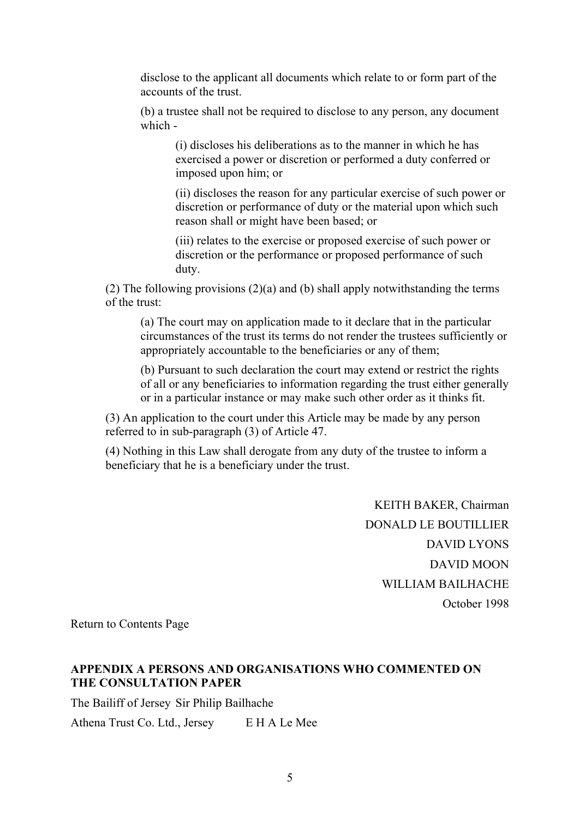disclose to the applicant all documents which relate to or form part of the accounts of the trust.

(b) a trustee shall not be required to disclose to any person, any document which -

(i) discloses his deliberations as to the manner in which he has exercised a power or discretion or performed a duty conferred or imposed upon him; or

(ii) discloses the reason for any particular exercise of such power or discretion or performance of duty or the material upon which such reason shall or might have been based; or

(iii) relates to the exercise or proposed exercise of such power or discretion or the performance or proposed performance of such duty.

(2) The following provisions (2)(a) and (b) shall apply notwithstanding the terms of the trust:

(a) The court may on application made to it declare that in the particular circumstances of the trust its terms do not render the trustees sufficiently or appropriately accountable to the beneficiaries or any of them;

(b) Pursuant to such declaration the court may extend or restrict the rights of all or any beneficiaries to information regarding the trust either generally or in a particular instance or may make such other order as it thinks fit.

(3) An application to the court under this Article may be made by any person referred to in sub-paragraph (3) of Article 47.

(4) Nothing in this Law shall derogate from any duty of the trustee to inform a beneficiary that he is a beneficiary under the trust.

> KEITH BAKER, Chairman DONALD LE BOUTILLIER DAVID LYONS DAVID MOON WILLIAM BAILHACHE October 1998

Return to Contents Page

### **APPENDIX A PERSONS AND ORGANISATIONS WHO COMMENTED ON THE CONSULTATION PAPER**

The Bailiff of Jersey Sir Philip Bailhache

Athena Trust Co. Ltd., Jersey E H A Le Mee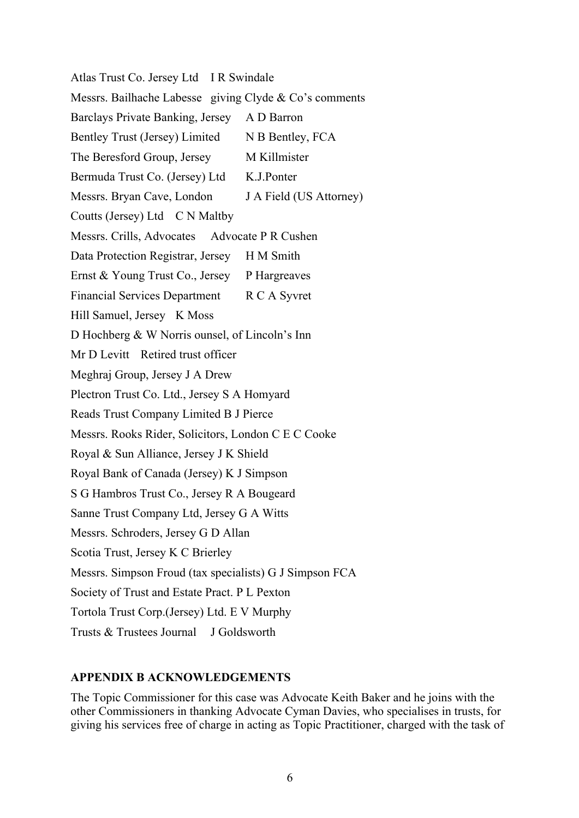Atlas Trust Co. Jersey Ltd I R Swindale Messrs. Bailhache Labesse giving Clyde & Co's comments Barclays Private Banking, Jersey A D Barron Bentley Trust (Jersey) Limited N B Bentley, FCA The Beresford Group, Jersey M Killmister Bermuda Trust Co. (Jersey) Ltd K.J.Ponter Messrs. Bryan Cave, London J A Field (US Attorney) Coutts (Jersey) Ltd C N Maltby Messrs. Crills, Advocates Advocate P R Cushen Data Protection Registrar, Jersey H M Smith Ernst & Young Trust Co., Jersey P Hargreaves Financial Services Department R C A Syvret Hill Samuel, Jersey K Moss D Hochberg & W Norris ounsel, of Lincoln's Inn Mr D Levitt Retired trust officer Meghraj Group, Jersey J A Drew Plectron Trust Co. Ltd., Jersey S A Homyard Reads Trust Company Limited B J Pierce Messrs. Rooks Rider, Solicitors, London C E C Cooke Royal & Sun Alliance, Jersey J K Shield Royal Bank of Canada (Jersey) K J Simpson S G Hambros Trust Co., Jersey R A Bougeard Sanne Trust Company Ltd, Jersey G A Witts Messrs. Schroders, Jersey G D Allan Scotia Trust, Jersey K C Brierley Messrs. Simpson Froud (tax specialists) G J Simpson FCA Society of Trust and Estate Pract. P L Pexton Tortola Trust Corp.(Jersey) Ltd. E V Murphy Trusts & Trustees Journal J Goldsworth

#### **APPENDIX B ACKNOWLEDGEMENTS**

The Topic Commissioner for this case was Advocate Keith Baker and he joins with the other Commissioners in thanking Advocate Cyman Davies, who specialises in trusts, for giving his services free of charge in acting as Topic Practitioner, charged with the task of